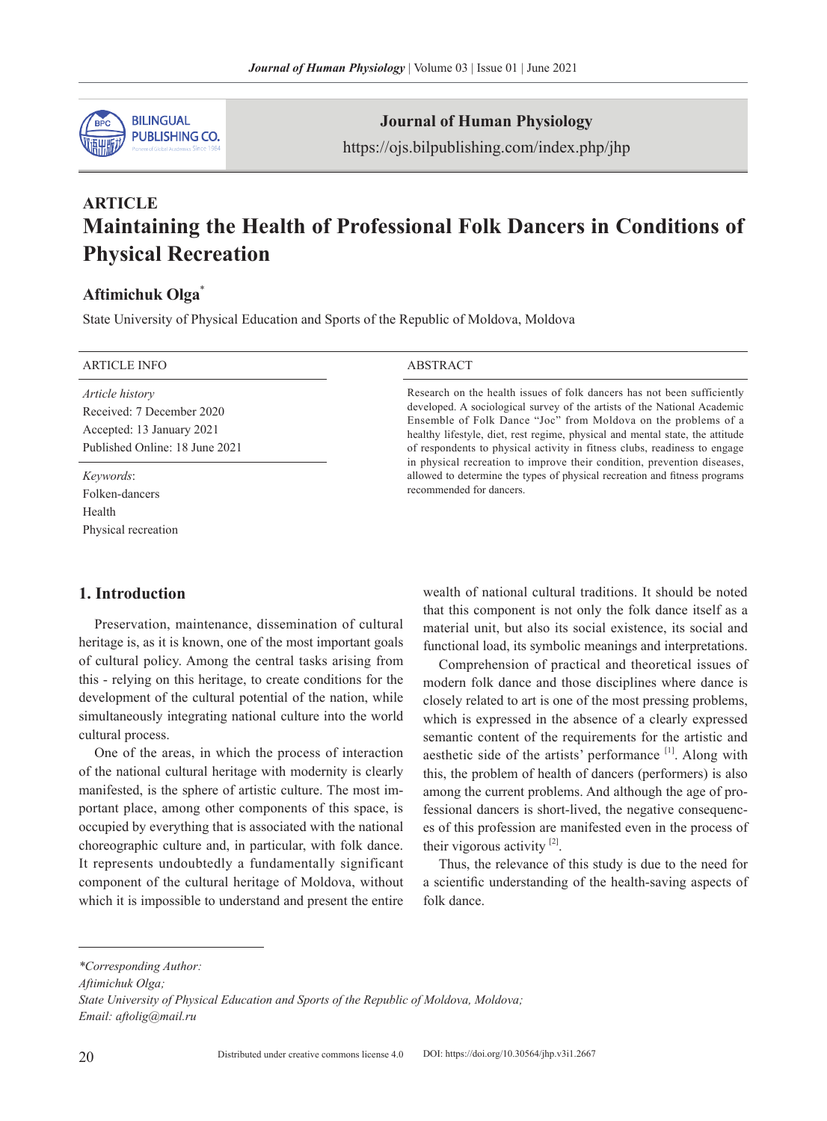

**Journal of Human Physiology**

https://ojs.bilpublishing.com/index.php/jhp

# **ARTICLE Maintaining the Health of Professional Folk Dancers in Conditions of Physical Recreation**

# **Aftimichuk Olga**\*

State University of Physical Education and Sports of the Republic of Moldova, Moldova

| <b>ARTICLE INFO</b>                                                                                                | ABSTRACT                                                                                                                                                                                                                                                                                                                                                                                                                                                                                                                                                                 |
|--------------------------------------------------------------------------------------------------------------------|--------------------------------------------------------------------------------------------------------------------------------------------------------------------------------------------------------------------------------------------------------------------------------------------------------------------------------------------------------------------------------------------------------------------------------------------------------------------------------------------------------------------------------------------------------------------------|
| <i>Article history</i><br>Received: 7 December 2020<br>Accepted: 13 January 2021<br>Published Online: 18 June 2021 | Research on the health issues of folk dancers has not been sufficiently<br>developed. A sociological survey of the artists of the National Academic<br>Ensemble of Folk Dance "Joc" from Moldova on the problems of a<br>healthy lifestyle, diet, rest regime, physical and mental state, the attitude<br>of respondents to physical activity in fitness clubs, readiness to engage<br>in physical recreation to improve their condition, prevention diseases,<br>allowed to determine the types of physical recreation and fitness programs<br>recommended for dancers. |
| <i>Keywords</i> :<br>Folken-dancers<br>Health<br>Physical recreation                                               |                                                                                                                                                                                                                                                                                                                                                                                                                                                                                                                                                                          |

## **1. Introduction**

Preservation, maintenance, dissemination of cultural heritage is, as it is known, one of the most important goals of cultural policy. Among the central tasks arising from this - relying on this heritage, to create conditions for the development of the cultural potential of the nation, while simultaneously integrating national culture into the world cultural process.

One of the areas, in which the process of interaction of the national cultural heritage with modernity is clearly manifested, is the sphere of artistic culture. The most important place, among other components of this space, is occupied by everything that is associated with the national choreographic culture and, in particular, with folk dance. It represents undoubtedly a fundamentally significant component of the cultural heritage of Moldova, without which it is impossible to understand and present the entire wealth of national cultural traditions. It should be noted that this component is not only the folk dance itself as a material unit, but also its social existence, its social and functional load, its symbolic meanings and interpretations.

Comprehension of practical and theoretical issues of modern folk dance and those disciplines where dance is closely related to art is one of the most pressing problems, which is expressed in the absence of a clearly expressed semantic content of the requirements for the artistic and aesthetic side of the artists' performance [1]. Along with this, the problem of health of dancers (performers) is also among the current problems. And although the age of professional dancers is short-lived, the negative consequences of this profession are manifested even in the process of their vigorous activity  $[2]$ .

Thus, the relevance of this study is due to the need for a scientific understanding of the health-saving aspects of folk dance.

*\*Corresponding Author:*

*Aftimichuk Olga;* 

*State University of Physical Education and Sports of the Republic of Moldova, Moldova; Email: aftolig@mail.ru*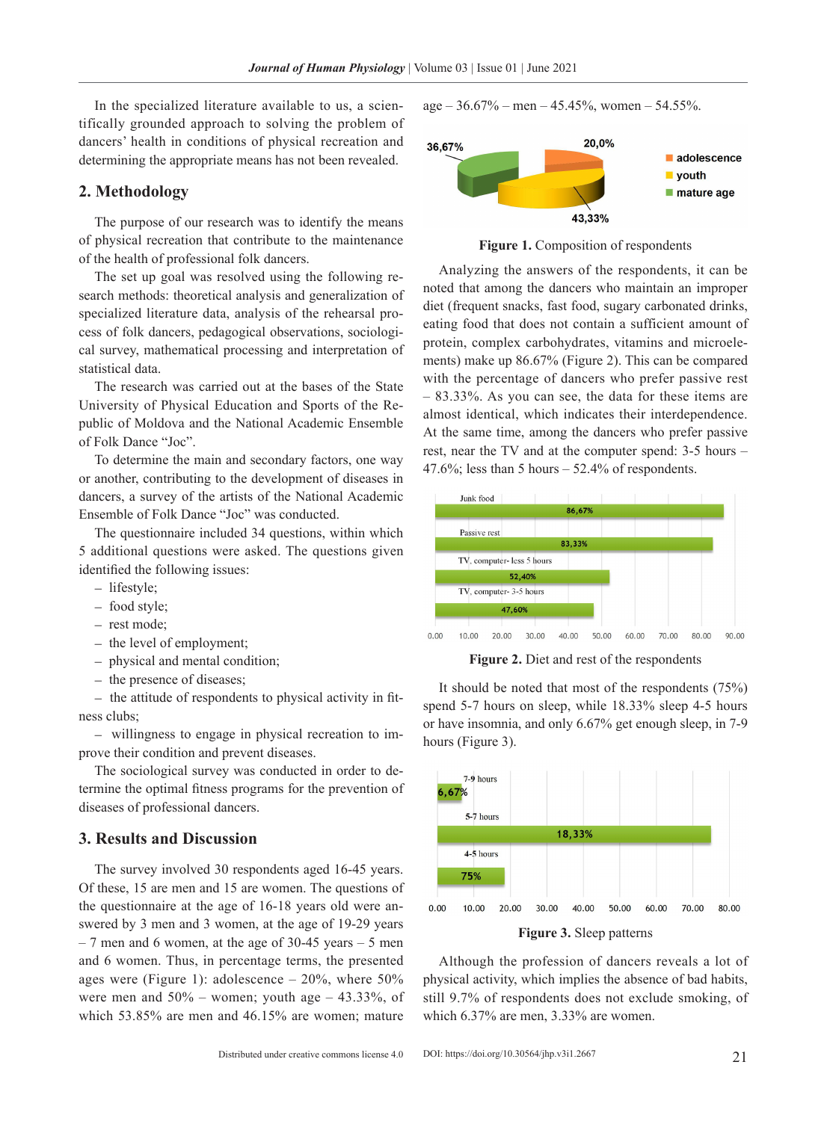In the specialized literature available to us, a scientifically grounded approach to solving the problem of dancers' health in conditions of physical recreation and determining the appropriate means has not been revealed.

### **2. Methodology**

The purpose of our research was to identify the means of physical recreation that contribute to the maintenance of the health of professional folk dancers.

The set up goal was resolved using the following research methods: theoretical analysis and generalization of specialized literature data, analysis of the rehearsal process of folk dancers, pedagogical observations, sociological survey, mathematical processing and interpretation of statistical data.

The research was carried out at the bases of the State University of Physical Education and Sports of the Republic of Moldova and the National Academic Ensemble of Folk Dance "Joc".

To determine the main and secondary factors, one way or another, contributing to the development of diseases in dancers, a survey of the artists of the National Academic Ensemble of Folk Dance "Joc" was conducted.

The questionnaire included 34 questions, within which 5 additional questions were asked. The questions given identified the following issues:

- − lifestyle;
- − food style;
- − rest mode;
- − the level of employment;
- − physical and mental condition;
- − the presence of diseases;

− the attitude of respondents to physical activity in fitness clubs;

− willingness to engage in physical recreation to improve their condition and prevent diseases.

The sociological survey was conducted in order to determine the optimal fitness programs for the prevention of diseases of professional dancers.

## **3. Results and Discussion**

The survey involved 30 respondents aged 16-45 years. Of these, 15 are men and 15 are women. The questions of the questionnaire at the age of 16-18 years old were answered by 3 men and 3 women, at the age of 19-29 years  $-7$  men and 6 women, at the age of 30-45 years  $-5$  men and 6 women. Thus, in percentage terms, the presented ages were (Figure 1): adolescence  $-20\%$ , where 50% were men and  $50\%$  – women; youth age – 43.33%, of which 53.85% are men and 46.15% are women; mature  $age - 36.67\% - men - 45.45\%$ , women - 54.55%.



**Figure 1.** Composition of respondents

Analyzing the answers of the respondents, it can be noted that among the dancers who maintain an improper diet (frequent snacks, fast food, sugary carbonated drinks, eating food that does not contain a sufficient amount of protein, complex carbohydrates, vitamins and microelements) make up 86.67% (Figure 2). This can be compared with the percentage of dancers who prefer passive rest – 83.33%. As you can see, the data for these items are almost identical, which indicates their interdependence. At the same time, among the dancers who prefer passive rest, near the TV and at the computer spend: 3-5 hours – 47.6%; less than 5 hours  $-52.4%$  of respondents.



Figure 2. Diet and rest of the respondents

It should be noted that most of the respondents (75%) spend 5-7 hours on sleep, while 18.33% sleep 4-5 hours or have insomnia, and only 6.67% get enough sleep, in 7-9 hours (Figure 3).



Although the profession of dancers reveals a lot of physical activity, which implies the absence of bad habits, still 9.7% of respondents does not exclude smoking, of which 6.37% are men, 3.33% are women.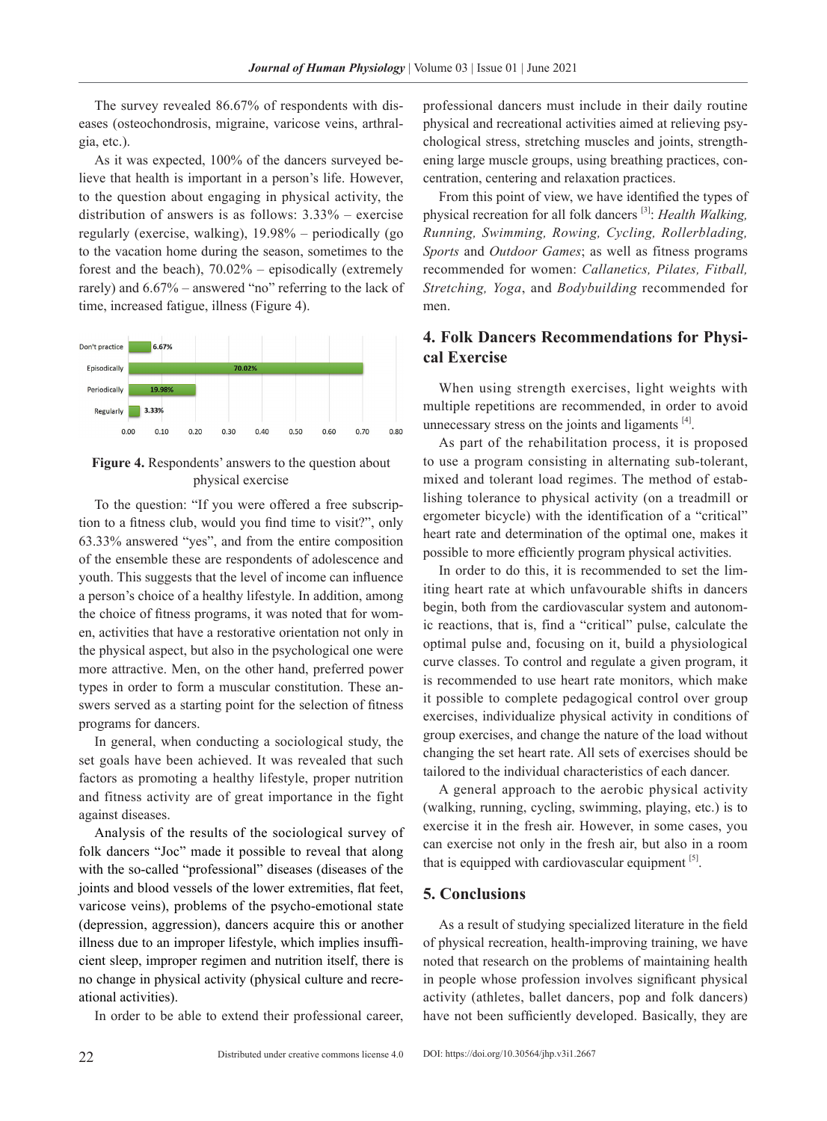The survey revealed 86.67% of respondents with diseases (osteochondrosis, migraine, varicose veins, arthralgia, etc.).

As it was expected, 100% of the dancers surveyed believe that health is important in a person's life. However, to the question about engaging in physical activity, the distribution of answers is as follows: 3.33% – exercise regularly (exercise, walking), 19.98% – periodically (go to the vacation home during the season, sometimes to the forest and the beach), 70.02% – episodically (extremely rarely) and 6.67% – answered "no" referring to the lack of time, increased fatigue, illness (Figure 4).



**Figure 4.** Respondents' answers to the question about physical exercise

To the question: "If you were offered a free subscription to a fitness club, would you find time to visit?", only 63.33% answered "yes", and from the entire composition of the ensemble these are respondents of adolescence and youth. This suggests that the level of income can influence a person's choice of a healthy lifestyle. In addition, among the choice of fitness programs, it was noted that for women, activities that have a restorative orientation not only in the physical aspect, but also in the psychological one were more attractive. Men, on the other hand, preferred power types in order to form a muscular constitution. These answers served as a starting point for the selection of fitness programs for dancers.

In general, when conducting a sociological study, the set goals have been achieved. It was revealed that such factors as promoting a healthy lifestyle, proper nutrition and fitness activity are of great importance in the fight against diseases.

Analysis of the results of the sociological survey of folk dancers "Joc" made it possible to reveal that along with the so-called "professional" diseases (diseases of the joints and blood vessels of the lower extremities, flat feet, varicose veins), problems of the psycho-emotional state (depression, aggression), dancers acquire this or another illness due to an improper lifestyle, which implies insufficient sleep, improper regimen and nutrition itself, there is no change in physical activity (physical culture and recreational activities).

In order to be able to extend their professional career,

professional dancers must include in their daily routine physical and recreational activities aimed at relieving psychological stress, stretching muscles and joints, strengthening large muscle groups, using breathing practices, concentration, centering and relaxation practices.

From this point of view, we have identified the types of physical recreation for all folk dancers [3]: *Health Walking, Running, Swimming, Rowing, Cycling, Rollerblading, Sports* and *Outdoor Games*; as well as fitness programs recommended for women: *Callanetics, Pilates, Fitball, Stretching, Yoga*, and *Bodybuilding* recommended for men.

# **4. Folk Dancers Recommendations for Physical Exercise**

When using strength exercises, light weights with multiple repetitions are recommended, in order to avoid unnecessary stress on the joints and ligaments  $[4]$ .

As part of the rehabilitation process, it is proposed to use a program consisting in alternating sub-tolerant, mixed and tolerant load regimes. The method of establishing tolerance to physical activity (on a treadmill or ergometer bicycle) with the identification of a "critical" heart rate and determination of the optimal one, makes it possible to more efficiently program physical activities.

In order to do this, it is recommended to set the limiting heart rate at which unfavourable shifts in dancers begin, both from the cardiovascular system and autonomic reactions, that is, find a "critical" pulse, calculate the optimal pulse and, focusing on it, build a physiological curve classes. To control and regulate a given program, it is recommended to use heart rate monitors, which make it possible to complete pedagogical control over group exercises, individualize physical activity in conditions of group exercises, and change the nature of the load without changing the set heart rate. All sets of exercises should be tailored to the individual characteristics of each dancer.

A general approach to the aerobic physical activity (walking, running, cycling, swimming, playing, etc.) is to exercise it in the fresh air. However, in some cases, you can exercise not only in the fresh air, but also in a room that is equipped with cardiovascular equipment  $^{[5]}$ .

#### **5. Conclusions**

As a result of studying specialized literature in the field of physical recreation, health-improving training, we have noted that research on the problems of maintaining health in people whose profession involves significant physical activity (athletes, ballet dancers, pop and folk dancers) have not been sufficiently developed. Basically, they are